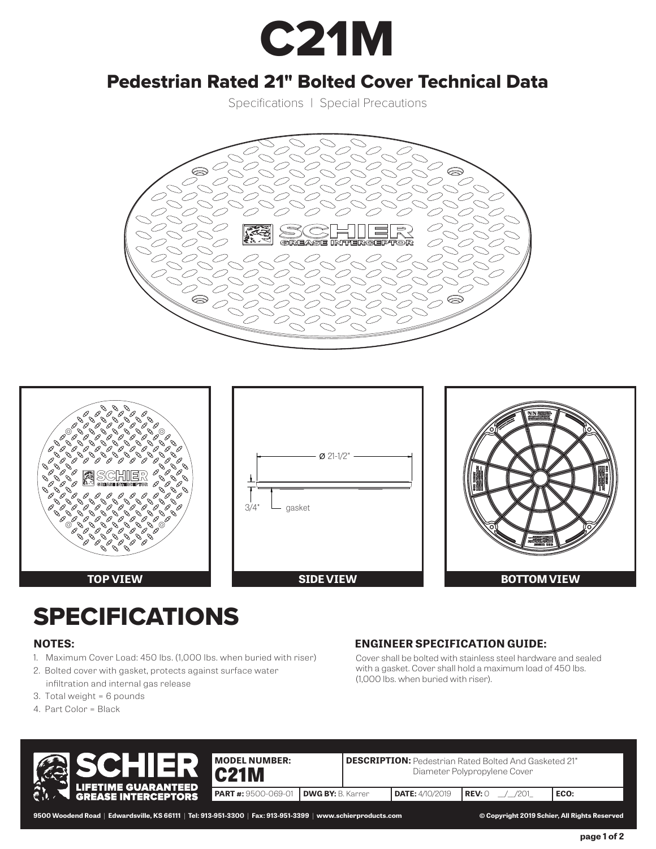# C21M

### Pedestrian Rated 21" Bolted Cover Technical Data

Specifications | Special Precautions





## SPECIFICATIONS

#### **NOTES:**

- 1. Maximum Cover Load: 450 lbs. (1,000 lbs. when buried with riser)
- 2. Bolted cover with gasket, protects against surface water infiltration and internal gas release
- 3. Total weight = 6 pounds
- 4. Part Color = Black

#### **ENGINEER SPECIFICATION GUIDE:**

Cover shall be bolted with stainless steel hardware and sealed with a gasket. Cover shall hold a maximum load of 450 lbs. (1,000 lbs. when buried with riser).



9500 Woodend Road | Edwardsville, KS 66111 | Tel: 913-951-3300 | Fax: 913-951-3399 | www.schierproducts.com @ Copyright 2019 Schier, All Rights Reserved